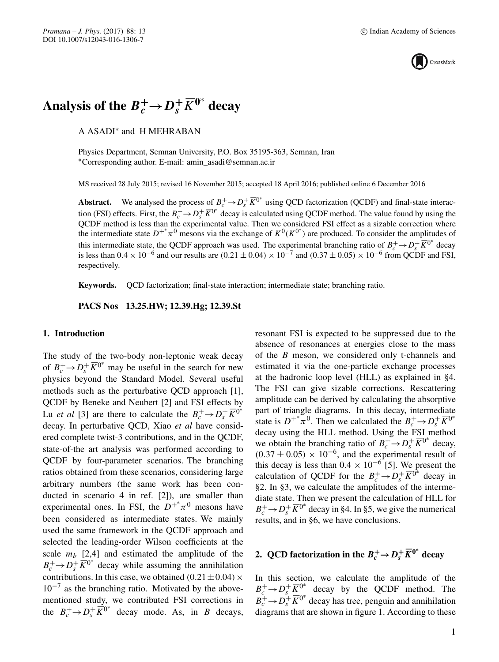

# Analysis of the  $B_c^+ \rightarrow D_s^+ \overline{K}^{0^*}$  decay

A ASADI∗ and H MEHRABAN

Physics Department, Semnan University, P.O. Box 35195-363, Semnan, Iran ∗Corresponding author. E-mail: amin\_asadi@semnan.ac.ir

MS received 28 July 2015; revised 16 November 2015; accepted 18 April 2016; published online 6 December 2016

**Abstract.** We analysed the process of  $B_c^+ \to D_s^+ \overline{K}^{0*}$  using QCD factorization (QCDF) and final-state interaction (FSI) effects. First, the  $B_c^+ \to D_s^+ \overline{K}^{0^*}$  decay is calculated using QCDF method. The value found by using the QCDF method is less than the experimental value. Then we considered FSI effect as a sizable correction where the intermediate state  $D^{+*}\pi^0$  mesons via the exchange of  $K^0(K^{0*})$  are produced. To consider the amplitudes of this intermediate state, the QCDF approach was used. The experimental branching ratio of  $B_c^+ \to D_s^+ \overline{K}^{0^*}$  decay is less than  $0.4 \times 10^{-6}$  and our results are  $(0.21 \pm 0.04) \times 10^{-7}$  and  $(0.37 \pm 0.05) \times 10^{-6}$  from QCDF and FSI, respectively.

**Keywords.** QCD factorization; final-state interaction; intermediate state; branching ratio.

**PACS Nos 13.25.HW; 12.39.Hg; 12.39.St**

## **1. Introduction**

The study of the two-body non-leptonic weak decay of  $B_c^+ \rightarrow D_s^+ \overline{K}^{0^*}$  may be useful in the search for new physics beyond the Standard Model. Several useful methods such as the perturbative QCD approach [1], QCDF by Beneke and Neubert [2] and FSI effects by Lu *et al* [3] are there to calculate the  $B_c^+ \rightarrow D_s^+ \overline{K}^{0^*}$ decay. In perturbative QCD, Xiao *et al* have considered complete twist-3 contributions, and in the QCDF, state-of-the art analysis was performed according to QCDF by four-parameter scenarios. The branching ratios obtained from these scenarios, considering large arbitrary numbers (the same work has been conducted in scenario 4 in ref. [2]), are smaller than experimental ones. In FSI, the  $D^{+*}\pi^0$  mesons have been considered as intermediate states. We mainly used the same framework in the QCDF approach and selected the leading-order Wilson coefficients at the scale  $m_b$  [2,4] and estimated the amplitude of the  $B_c^+ \rightarrow D_s^+ \overline{K}^{0^*}$  decay while assuming the annihilation contributions. In this case, we obtained  $(0.21 \pm 0.04) \times$  $10^{-7}$  as the branching ratio. Motivated by the abovementioned study, we contributed FSI corrections in the  $B_c^+ \rightarrow D_s^+ \overline{K}^{0^*}$  decay mode. As, in B decays,

resonant FSI is expected to be suppressed due to the absence of resonances at energies close to the mass of the B meson, we considered only t-channels and estimated it via the one-particle exchange processes at the hadronic loop level (HLL) as explained in §4. The FSI can give sizable corrections. Rescattering amplitude can be derived by calculating the absorptive part of triangle diagrams. In this decay, intermediate state is  $D^{+*}\pi^0$ . Then we calculated the  $B_c^+ \rightarrow D_s^+ \overline{K}^{0*}$ decay using the HLL method. Using the FSI method we obtain the branching ratio of  $B_c^+ \rightarrow D_s^+ \overline{K}^{0^*}$  decay,  $(0.37 \pm 0.05) \times 10^{-6}$ , and the experimental result of this decay is less than  $0.4 \times 10^{-6}$  [5]. We present the calculation of QCDF for the  $B_c^+ \rightarrow D_s^+ \overline{K}^{0^*}$  decay in §2. In §3, we calculate the amplitudes of the intermediate state. Then we present the calculation of HLL for  $B_c^+ \rightarrow D_s^+ \overline{K}^{0^*}$  decay in §4. In §5, we give the numerical results, and in §6, we have conclusions.

# **2.** QCD factorization in the  $B_c^+ \rightarrow D_s^+ \overline{K}^{0^*}$  decay

In this section, we calculate the amplitude of the  $B_c^+ \rightarrow D_s^+ \overline{K}^{0^*}$  decay by the QCDF method. The  $B_c^+ \rightarrow D_s^+ \overline{K}^{0^*}$  decay has tree, penguin and annihilation diagrams that are shown in figure 1. According to these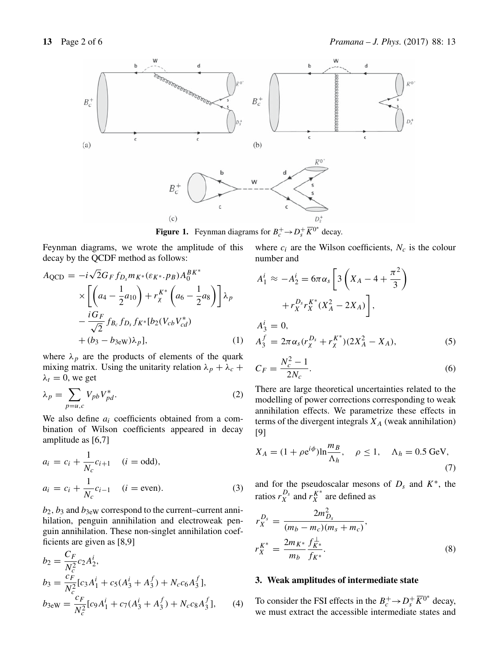

**Figure 1.** Feynman diagrams for  $B_c^+ \rightarrow D_s^+ \overline{K}^{0^*}$  decay.

Feynman diagrams, we wrote the amplitude of this decay by the QCDF method as follows:

$$
A_{QCD} = -i\sqrt{2}G_F f_{D_s} m_{K^*} (\varepsilon_{K^*} \cdot p_B) A_0^{BK^*} \times \left[ \left( a_4 - \frac{1}{2} a_{10} \right) + r_{\chi}^{K^*} \left( a_6 - \frac{1}{2} a_8 \right) \right] \lambda_p \n- \frac{i G_F}{\sqrt{2}} f_{B_c} f_{D_s} f_{K^*} [b_2 (V_{cb} V_{cd}^*) \n+ (b_3 - b_{3 \text{ew}}) \lambda_p],
$$
\n(1)

where  $\lambda_p$  are the products of elements of the quark mixing matrix. Using the unitarity relation  $\lambda_p + \lambda_c +$  $\lambda_t = 0$ , we get

$$
\lambda_p = \sum_{p=u,c} V_{pb} V_{pd}^*.
$$
 (2)

We also define  $a_i$  coefficients obtained from a combination of Wilson coefficients appeared in decay amplitude as [6,7]

$$
a_i = c_i + \frac{1}{N_c} c_{i+1} \quad (i = \text{odd}),
$$
  
\n
$$
a_i = c_i + \frac{1}{N_c} c_{i-1} \quad (i = \text{even}).
$$
\n(3)

 $b_2$ ,  $b_3$  and  $b_{3 \text{eW}}$  correspond to the current–current annihilation, penguin annihilation and electroweak penguin annihilation. These non-singlet annihilation coefficients are given as [8,9]

$$
b_2 = \frac{C_F}{N_c^2} c_2 A_2^i,
$$
  
\n
$$
b_3 = \frac{c_F}{N_c^2} [c_3 A_1^i + c_5 (A_3^i + A_3^f) + N_c c_6 A_3^f],
$$
  
\n
$$
b_{3 \text{ew}} = \frac{c_F}{N_c^2} [c_9 A_1^i + c_7 (A_3^i + A_3^f) + N_c c_8 A_3^f],
$$
 (4)

where  $c_i$  are the Wilson coefficients,  $N_c$  is the colour number and

$$
A_1^i \approx -A_2^i = 6\pi \alpha_s \left[ 3\left(X_A - 4 + \frac{\pi^2}{3}\right) + r_X^{D_s} r_X^{\kappa^*}(X_A^2 - 2X_A) \right],
$$
  
\n
$$
A_3^i = 0,
$$
  
\n
$$
A_3^f = 2\pi \alpha_s (r_X^{D_s} + r_X^{\kappa^*})(2X_A^2 - X_A),
$$
\n(5)

$$
C_F = \frac{N_c^2 - 1}{2N_c}.
$$
\n(6)

There are large theoretical uncertainties related to the modelling of power corrections corresponding to weak annihilation effects. We parametrize these effects in terms of the divergent integrals  $X_A$  (weak annihilation) [9]

$$
X_A = (1 + \rho e^{i\phi}) \ln \frac{m_B}{\Lambda_h}, \quad \rho \le 1, \quad \Lambda_h = 0.5 \text{ GeV}, \tag{7}
$$

and for the pseudoscalar mesons of  $D_s$  and  $K^*$ , the ratios  $r_X^{D_s}$  and  $r_X^{K^*}$  are defined as

$$
r_X^{D_s} = \frac{2m_{D_s}^2}{(m_b - m_c)(m_s + m_c)},
$$
  
\n
$$
r_X^{K^*} = \frac{2m_{K^*}}{m_b} \frac{f_{K^*}^{\perp}}{f_{K^*}}.
$$
\n(8)

## **3. Weak amplitudes of intermediate state**

To consider the FSI effects in the  $B_c^+ \rightarrow D_s^+ \overline{K}^{0^*}$  decay, we must extract the accessible intermediate states and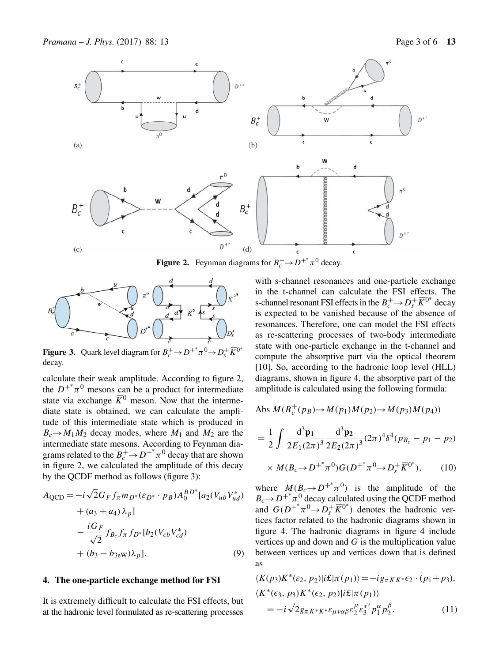

**Figure 2.** Feynman diagrams for  $B_c^+ \rightarrow D^{+*} \pi^0$  decay.



**Figure 3.** Quark level diagram for  $B_c^+ \to D^{+*} \pi^0 \to D_s^+ \overline{K}^{0*}$ decay.

calculate their weak amplitude. According to figure 2, the  $D^{+*}\pi^0$  mesons can be a product for intermediate state via exchange  $\overline{K}^0$  meson. Now that the intermediate state is obtained, we can calculate the amplitude of this intermediate state which is produced in  $B_c \rightarrow M_1 M_2$  decay modes, where  $M_1$  and  $M_2$  are the intermediate state mesons. According to Feynman diagrams related to the  $B_c^+$   $\rightarrow$   $D^{+*}\pi^0$  decay that are shown in figure 2, we calculated the amplitude of this decay by the QCDF method as follows (figure 3):

$$
A_{QCD} = -i\sqrt{2}G_F f_{\pi} m_{D^*} (\varepsilon_{D^*} \cdot p_B) A_0^{BD^*} [a_2(V_{ub}V_{ud}^*)
$$
  
+  $(a_3 + a_4) \lambda_p$ ]  
-  $\frac{iG_F}{\sqrt{2}} f_{B_c} f_{\pi} f_{D^*} [b_2(V_{cb}V_{cd}^*)$   
+  $(b_3 - b_{3eW})\lambda_p$ ]. (9)

#### **4. The one-particle exchange method for FSI**

It is extremely difficult to calculate the FSI effects, but at the hadronic level formulated as re-scattering processes with s-channel resonances and one-particle exchange in the t-channel can calculate the FSI effects. The s-channel resonant FSI effects in the  $B_c^+ \rightarrow D_s^+ \overline{K}^{0^*}$  decay is expected to be vanished because of the absence of resonances. Therefore, one can model the FSI effects as re-scattering processes of two-body intermediate state with one-particle exchange in the t-channel and compute the absorptive part via the optical theorem [10]. So, according to the hadronic loop level (HLL) diagrams, shown in figure 4, the absorptive part of the amplitude is calculated using the following formula:

$$
Abs M(Bc+(pB)\rightarrow M(p1)M(p2)\rightarrow M(p3)M(p4))
$$

$$
= \frac{1}{2} \int \frac{d^3 \mathbf{p_1}}{2E_1 (2\pi)^3} \frac{d^3 \mathbf{p_2}}{2E_2 (2\pi)^3} (2\pi)^4 \delta^4(p_{B_c} - p_1 - p_2)
$$

$$
\times M(B_c \to D^{+} \pi^0) G(D^{+} \pi^0 \to D_s^+ \overline{K}^{0^*}), \qquad (10)
$$

where  $M(B_c \to D^{+*}\pi^0)$  is the amplitude of the  $B_c \rightarrow D^{+*} \pi^0$  decay calculated using the QCDF method and  $G(D^{+*}\pi^0 \to D_s^+ \overline{K}^{0*})$  denotes the hadronic vertices factor related to the hadronic diagrams shown in figure 4. The hadronic diagrams in figure 4 include vertices up and down and G is the multiplication value between vertices up and vertices down that is defined as

$$
\langle K(p_3)K^*(\varepsilon_2, p_2)|i\mathbf{E}|\pi(p_1)\rangle = -ig_{\pi K K^*}\varepsilon_2 \cdot (p_1 + p_3),
$$
  

$$
\langle K^*(\varepsilon_3, p_3)K^*(\varepsilon_2, p_2)|i\mathbf{E}|\pi(p_1)\rangle
$$
  

$$
= -i\sqrt{2}g_{\pi K^* K^*} \varepsilon_{\mu\nu\alpha\beta} \varepsilon_2^{\mu} \varepsilon_3^{*^{\nu}} p_1^{\alpha} p_2^{\beta}.
$$
 (11)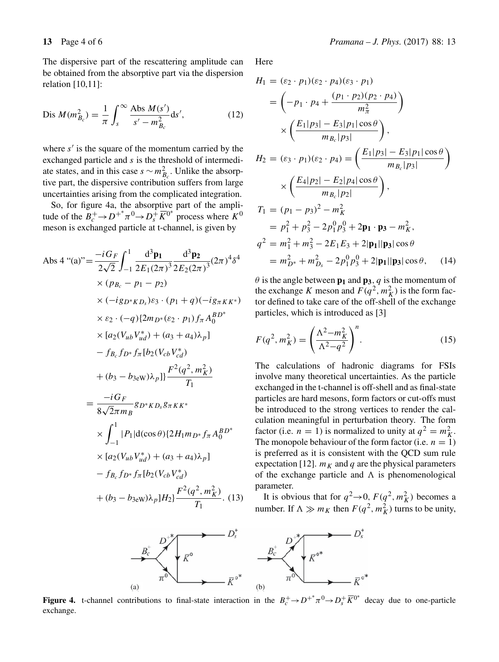The dispersive part of the rescattering amplitude can be obtained from the absorptive part via the dispersion relation [10,11]:

Dis 
$$
M(m_{B_c}^2) = \frac{1}{\pi} \int_s^{\infty} \frac{Abs M(s')}{s' - m_{B_c}^2} ds',
$$
 (12)

where  $s'$  is the square of the momentum carried by the exchanged particle and s is the threshold of intermediate states, and in this case  $s \sim m_{B_c}^2$ . Unlike the absorptive part, the dispersive contribution suffers from large uncertainties arising from the complicated integration.

So, for figure 4a, the absorptive part of the amplitude of the  $B_c^+ \to D^{+*}\pi^0 \to D_s^+ \overline{K}^{0*}$  process where  $K^0$ meson is exchanged particle at t-channel, is given by

$$
\begin{split}\n\text{Abs 4} \text{``(a)} &= \frac{-i G_F}{2\sqrt{2}} \int_{-1}^{1} \frac{d^3 \mathbf{p_1}}{2E_1(2\pi)^3} \frac{d^3 \mathbf{p_2}}{2E_2(2\pi)^3} (2\pi)^4 \delta^4 \\
&\quad \times (p_{B_c} - p_1 - p_2) \\
&\quad \times (-ig_{D^*KD_s}) \varepsilon_3 \cdot (p_1 + q)(-ig_{\pi K K^*}) \\
&\quad \times \varepsilon_2 \cdot (-q) \{2m_{D^*}(\varepsilon_2 \cdot p_1) f_{\pi} A_0^{BD^*} \\
&\quad \times [a_2(V_{ub}V_{ud}^*) + (a_3 + a_4)\lambda_p] \\
&\quad - f_{B_c} f_{D^*} f_{\pi} [b_2(V_{cb}V_{cd}^*)] \\
&\quad + (b_3 - b_{3 \text{ew}})\lambda_p] \frac{F^2(q^2, m_K^2)}{T_1} \\
&= \frac{-i G_F}{8\sqrt{2}\pi m_B} g_{D^* K D_s g_{\pi K K^*} \\
&\quad \times \int_{-1}^{1} |P_1| \text{d}(\cos \theta) \{2H_1 m_{D^*} f_{\pi} A_0^{BD^*} \\
&\quad \times [a_2(V_{ub}V_{ud}^*) + (a_3 + a_4)\lambda_p] \\
&\quad - f_{B_c} f_{D^*} f_{\pi} [b_2(V_{cb}V_{cd}^*)] \\
&\quad + (b_3 - b_{3 \text{ew}})\lambda_p] H_2 \} \frac{F^2(q^2, m_K^2)}{T_1}.\n\end{split} \tag{13}
$$

Here

$$
H_1 = (\varepsilon_2 \cdot p_1)(\varepsilon_2 \cdot p_4)(\varepsilon_3 \cdot p_1)
$$
  
\n
$$
= \left(-p_1 \cdot p_4 + \frac{(p_1 \cdot p_2)(p_2 \cdot p_4)}{m_{\pi}^2}\right)
$$
  
\n
$$
\times \left(\frac{E_1|p_3| - E_3|p_1|\cos\theta}{m_{B_c}|p_3|}\right),
$$
  
\n
$$
H_2 = (\varepsilon_3 \cdot p_1)(\varepsilon_2 \cdot p_4) = \left(\frac{E_1|p_3| - E_3|p_1|\cos\theta}{m_{B_c}|p_3|}\right)
$$
  
\n
$$
\times \left(\frac{E_4|p_2| - E_2|p_4|\cos\theta}{m_{B_c}|p_2|}\right),
$$
  
\n
$$
T_1 = (p_1 - p_3)^2 - m_K^2
$$
  
\n
$$
= p_1^2 + p_3^2 - 2p_1^0p_3^0 + 2\mathbf{p_1} \cdot \mathbf{p_3} - m_K^2,
$$
  
\n
$$
q^2 = m_1^2 + m_3^2 - 2E_1E_3 + 2|\mathbf{p_1}||\mathbf{p_3}|\cos\theta
$$
  
\n
$$
= m_{D^*}^2 + m_{D_s}^2 - 2p_1^0p_3^0 + 2|\mathbf{p_1}||\mathbf{p_3}|\cos\theta,
$$
 (14)

 $\theta$  is the angle between  $\mathbf{p}_1$  and  $\mathbf{p}_3$ , q is the momentum of the exchange K meson and  $F(q^2, m_K^2)$  is the form factor defined to take care of the off-shell of the exchange particles, which is introduced as [3]

$$
F(q^2, m_K^2) = \left(\frac{\Lambda^2 - m_K^2}{\Lambda^2 - q^2}\right)^n.
$$
 (15)

The calculations of hadronic diagrams for FSIs involve many theoretical uncertainties. As the particle exchanged in the t-channel is off-shell and as final-state particles are hard mesons, form factors or cut-offs must be introduced to the strong vertices to render the calculation meaningful in perturbation theory. The form factor (i.e.  $n = 1$ ) is normalized to unity at  $q^2 = m_K^2$ . The monopole behaviour of the form factor (i.e.  $n = 1$ ) is preferred as it is consistent with the QCD sum rule expectation [12].  $m<sub>K</sub>$  and q are the physical parameters of the exchange particle and  $\Lambda$  is phenomenological parameter.

It is obvious that for  $q^2 \rightarrow 0$ ,  $F(q^2, m_K^2)$  becomes a number. If  $\Lambda \gg m_K$  then  $F(q^2, m_K^2)$  turns to be unity,



**Figure 4.** t-channel contributions to final-state interaction in the  $B_c^+ \to D^{+*} \pi^0 \to D_s^+ \overline{K}^{0*}$  decay due to one-particle exchange.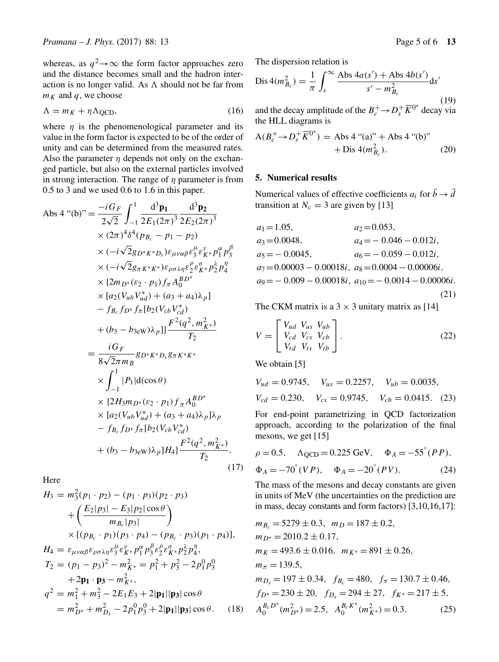whereas, as  $q^2 \rightarrow \infty$  the form factor approaches zero and the distance becomes small and the hadron interaction is no longer valid. As  $\Lambda$  should not be far from  $m_K$  and  $q$ , we choose

$$
\Lambda = m_K + \eta \Lambda_{\text{QCD}},\tag{16}
$$

where  $\eta$  is the phenomenological parameter and its value in the form factor is expected to be of the order of unity and can be determined from the measured rates. Also the parameter  $\eta$  depends not only on the exchanged particle, but also on the external particles involved in strong interaction. The range of  $\eta$  parameter is from 0.5 to 3 and we used 0.6 to 1.6 in this paper.

$$
\begin{split}\n\text{Abs 4} \text{``(b)} \text{''} &= \frac{-i G_F}{2\sqrt{2}} \int_{-1}^{1} \frac{d^3 \mathbf{p_1}}{2E_1(2\pi)^3} \frac{d^3 \mathbf{p_2}}{2E_2(2\pi)^3} \\
&\times (2\pi)^4 \delta^4(p_{B_c} - p_1 - p_2) \\
&\times (-i\sqrt{2}g_{D^*K^*D_s})\varepsilon_{\mu\nu\alpha\beta}\varepsilon_3^{\mu}\varepsilon_K^{\nu} * p_1^{\alpha} p_3^{\beta} \\
&\times (-i\sqrt{2}g_{\pi K^*K^*})\varepsilon_{\rho\sigma\lambda\eta}\varepsilon_2^{\rho}\varepsilon_K^{\sigma} p_2^{\lambda} p_4^{\eta} \\
&\times [a_2(V_{ub}V_{ud}^*) + (a_3 + a_4)\lambda_p] \\
&\quad - f_{B_c}f_{D^*}f_{\pi}[b_2(V_{cb}V_{cd}^*)] \\
&\quad + (b_3 - b_{3\text{ew}})\lambda_p] \frac{F^2(q^2, m_{K^*}^2)}{T_2} \\
&= \frac{i G_F}{8\sqrt{2}\pi m_B} g_{D^*K^*D_s}g_{\pi K^*K^*} \\
&\times \int_{-1}^{1} |P_1| \text{d}(\cos\theta) \\
&\times \{2H_3m_{D^*}(\varepsilon_2 \cdot p_1)f_{\pi}A_0^{BD^*} \\
&\times [a_2(V_{ub}V_{ud}^*) + (a_3 + a_4)\lambda_p]\lambda_p \\
&\quad - f_{B_c}f_{D^*}f_{\pi}[b_2(V_{cb}V_{cd}^*)] \\
&\quad + (b_3 - b_{3\text{ew}})\lambda_p]H_4 \} \frac{F^2(q^2, m_{K^*}^2)}{T_2}.\n\end{split} \tag{17}
$$

Here

$$
H_3 = m_3^2(p_1 \cdot p_2) - (p_1 \cdot p_3)(p_2 \cdot p_3)
$$
  
+  $\left(\frac{E_2|p_3| - E_3|p_2|\cos\theta}{m_{B_c}|p_3|}\right)$   
×  $[(p_{B_c} \cdot p_1)(p_3 \cdot p_4) - (p_{B_c} \cdot p_3)(p_1 \cdot p_4)],$   

$$
H_4 = \varepsilon_{\mu\nu\alpha\beta}\varepsilon_{\rho\sigma\lambda\eta}\varepsilon_3^{\mu}\varepsilon_{K^*}^{\nu}p_1^{\alpha}p_3^{\beta}\varepsilon_2^{\rho}\varepsilon_{K^*}^{\alpha}p_2^{\lambda}p_4^{\eta},
$$

$$
T_2 = (p_1 - p_3)^2 - m_{K^*}^2 = p_1^2 + p_3^2 - 2p_1^0p_3^0
$$

$$
+ 2\mathbf{p_1} \cdot \mathbf{p_3} - m_{K^*}^2,
$$

$$
q^2 = m_1^2 + m_3^2 - 2E_1E_3 + 2|\mathbf{p_1}||\mathbf{p_3}|\cos\theta
$$

$$
= m_{D^*}^2 + m_{D_s}^2 - 2p_1^0p_3^0 + 2|\mathbf{p_1}||\mathbf{p_3}|\cos\theta. \quad (18)
$$

The dispersion relation is

$$
Dis 4(m_{B_c}^2) = \frac{1}{\pi} \int_s^{\infty} \frac{Abs 4a(s') + Abs 4b(s')}{s' - m_{B_c}^2} ds'
$$
\n(19)

and the decay amplitude of the  $B_c^+ \rightarrow D_s^+ \overline{K}^{0^*}$  decay via the HLL diagrams is

$$
A(B_c^+ \to D_s^+ \overline{K}^{0^*}) = Abs 4 \text{``(a)''} + Abs 4 \text{``(b)''} + Dis 4(m_{B_c}^2). \tag{20}
$$

# **5. Numerical results**

Numerical values of effective coefficients  $a_i$  for  $\bar{b} \rightarrow \bar{d}$ transition at  $N_c = 3$  are given by [13]

$$
a_1 = 1.05,
$$
  $a_2 = 0.053,$   
\n $a_3 = 0.0048,$   $a_4 = -0.046 - 0.012i,$   
\n $a_5 = -0.0045,$   $a_6 = -0.059 - 0.012i,$   
\n $a_7 = 0.00003 - 0.00018i,$   $a_8 = 0.0004 - 0.00006i,$   
\n $a_9 = -0.009 - 0.00018i,$   $a_{10} = -0.0014 - 0.00006i.$  (21)

The CKM matrix is a  $3 \times 3$  unitary matrix as [14]

$$
V = \begin{bmatrix} V_{ud} & V_{us} & V_{ub} \\ V_{cd} & V_{cs} & V_{cb} \\ V_{td} & V_{ts} & V_{tb} \end{bmatrix}.
$$
 (22)

We obtain [5]

$$
V_{ud} = 0.9745
$$
,  $V_{us} = 0.2257$ ,  $V_{ub} = 0.0035$ ,  
\n $V_{cd} = 0.230$ ,  $V_{cs} = 0.9745$ ,  $V_{cb} = 0.0415$ . (23)

For end-point parametrizing in QCD factorization approach, according to the polarization of the final mesons, we get [15]

$$
\rho = 0.5, \quad \Lambda_{QCD} = 0.225 \text{ GeV}, \quad \Phi_A = -55^\circ (PP), \n\Phi_A = -70^\circ (VP), \quad \Phi_A = -20^\circ (PV).
$$
\n(24)

The mass of the mesons and decay constants are given in units of MeV (the uncertainties on the prediction are in mass, decay constants and form factors) [3,10,16,17]:

$$
m_{B_c} = 5279 \pm 0.3, \ m_D = 187 \pm 0.2,
$$
  
\n
$$
m_{D^*} = 2010.2 \pm 0.17,
$$
  
\n
$$
m_K = 493.6 \pm 0.016, \ m_{K^*} = 891 \pm 0.26,
$$
  
\n
$$
m_{\pi} = 139.5,
$$
  
\n
$$
m_{D_s} = 197 \pm 0.34, \ f_{B_c} = 480, \ f_{\pi} = 130.7 \pm 0.46,
$$
  
\n
$$
f_{D^*} = 230 \pm 20, \ f_{D_s} = 294 \pm 27, \ f_{K^*} = 217 \pm 5,
$$
  
\n
$$
A_0^{B_c}D^*(m_{D^*}^2) = 2.5, \ A_0^{B_c}D^*(m_{K^*}^2) = 0.3.
$$
  
\n(25)